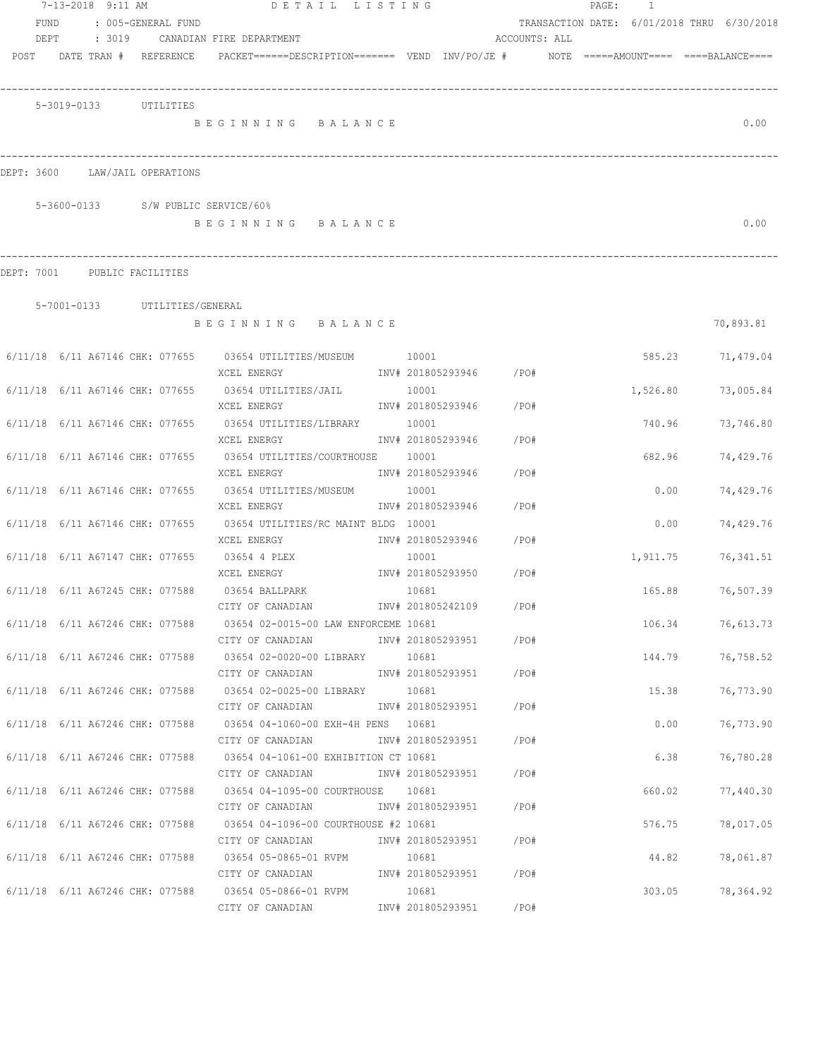|                                 | 7-13-2018 9:11 AM     |                               | DETAIL LISTING                                                                                     |       |       |                        |               | PAGE: | $\overline{1}$ |                                            |
|---------------------------------|-----------------------|-------------------------------|----------------------------------------------------------------------------------------------------|-------|-------|------------------------|---------------|-------|----------------|--------------------------------------------|
| FUND                            |                       | : 005-GENERAL FUND            |                                                                                                    |       |       |                        |               |       |                | TRANSACTION DATE: 6/01/2018 THRU 6/30/2018 |
| DEPT                            |                       |                               | : 3019 CANADIAN FIRE DEPARTMENT                                                                    |       |       |                        | ACCOUNTS: ALL |       |                |                                            |
| POST DATE TRAN # REFERENCE      |                       |                               | $PACKET == == = DESCRIPTION == == == $ $VEND$ $INV/PO/JE$ # $NOTE$ =====AMOUNT==== ====BALANCE==== |       |       |                        |               |       |                |                                            |
|                                 |                       |                               |                                                                                                    |       |       |                        |               |       |                |                                            |
|                                 | 5-3019-0133 UTILITIES |                               |                                                                                                    |       |       |                        |               |       |                |                                            |
|                                 |                       |                               | BEGINNING BALANCE                                                                                  |       |       |                        |               |       |                | 0.00                                       |
|                                 |                       |                               |                                                                                                    |       |       |                        |               |       |                |                                            |
|                                 |                       |                               |                                                                                                    |       |       |                        |               |       |                |                                            |
| DEPT: 3600                      |                       | LAW/JAIL OPERATIONS           |                                                                                                    |       |       |                        |               |       |                |                                            |
|                                 |                       |                               | 5-3600-0133 S/W PUBLIC SERVICE/60%                                                                 |       |       |                        |               |       |                |                                            |
|                                 |                       |                               | BEGINNING BALANCE                                                                                  |       |       |                        |               |       |                | 0.00                                       |
|                                 |                       |                               |                                                                                                    |       |       |                        |               |       |                |                                            |
| DEPT: 7001 PUBLIC FACILITIES    |                       |                               |                                                                                                    |       |       |                        |               |       |                |                                            |
|                                 |                       | 5-7001-0133 UTILITIES/GENERAL |                                                                                                    |       |       |                        |               |       |                |                                            |
|                                 |                       |                               | BEGINNING BALANCE                                                                                  |       |       |                        |               |       |                | 70,893.81                                  |
|                                 |                       |                               | 6/11/18 6/11 A67146 CHK: 077655 03654 UTILITIES/MUSEUM 10001                                       |       |       |                        |               |       | 585.23         | 71,479.04                                  |
|                                 |                       |                               | XCEL ENERGY                                                                                        |       |       | INV# 201805293946 /PO# |               |       |                |                                            |
| 6/11/18 6/11 A67146 CHK: 077655 |                       |                               | 03654 UTILITIES/JAIL                                                                               |       | 10001 |                        |               |       | 1,526.80       | 73,005.84                                  |
|                                 |                       |                               | XCEL ENERGY                                                                                        |       |       | INV# 201805293946      | /PO#          |       |                |                                            |
| 6/11/18 6/11 A67146 CHK: 077655 |                       |                               | 03654 UTILITIES/LIBRARY                                                                            |       | 10001 |                        |               |       | 740.96         | 73,746.80                                  |
|                                 |                       |                               | XCEL ENERGY                                                                                        |       |       | INV# 201805293946      | /PO#          |       |                |                                            |
| 6/11/18 6/11 A67146 CHK: 077655 |                       |                               | 03654 UTILITIES/COURTHOUSE                                                                         |       | 10001 |                        |               |       | 682.96         | 74,429.76                                  |
|                                 |                       |                               | XCEL ENERGY                                                                                        |       |       | INV# 201805293946      | /PO#          |       |                |                                            |
| 6/11/18 6/11 A67146 CHK: 077655 |                       |                               | 03654 UTILITIES/MUSEUM                                                                             |       | 10001 |                        |               |       | 0.00           | 74,429.76                                  |
|                                 |                       |                               | XCEL ENERGY                                                                                        |       |       | INV# 201805293946      | /PO#          |       |                |                                            |
| 6/11/18 6/11 A67146 CHK: 077655 |                       |                               | 03654 UTILITIES/RC MAINT BLDG 10001                                                                |       |       |                        |               |       | 0.00           | 74,429.76                                  |
|                                 |                       |                               | XCEL ENERGY                                                                                        |       |       | INV# 201805293946      | /PO#          |       |                |                                            |
| 6/11/18 6/11 A67147 CHK: 077655 |                       |                               | 03654 4 PLEX                                                                                       |       | 10001 |                        |               |       | 1,911.75       | 76,341.51                                  |
|                                 |                       |                               | XCEL ENERGY                                                                                        |       |       | INV# 201805293950 /PO# |               |       |                |                                            |
| 6/11/18 6/11 A67245 CHK: 077588 |                       |                               | 03654 BALLPARK                                                                                     | 10681 |       | INV# 201805242109      | /PO#          |       | 165.88         | 76,507.39                                  |
|                                 |                       |                               | CITY OF CANADIAN<br>6/11/18 6/11 A67246 CHK: 077588 03654 02-0015-00 LAW ENFORCEME 10681           |       |       |                        |               |       |                | 106.34 76,613.73                           |
|                                 |                       |                               | CITY OF CANADIAN                                                                                   |       |       | INV# 201805293951 /PO# |               |       |                |                                            |
|                                 |                       |                               | 6/11/18 6/11 A67246 CHK: 077588 03654 02-0020-00 LIBRARY 10681                                     |       |       |                        |               |       | 144.79         | 76,758.52                                  |
|                                 |                       |                               | CITY OF CANADIAN                                                                                   |       |       | INV# 201805293951 /PO# |               |       |                |                                            |
|                                 |                       |                               | 6/11/18 6/11 A67246 CHK: 077588 03654 02-0025-00 LIBRARY 10681                                     |       |       |                        |               |       | 15.38          | 76,773.90                                  |
|                                 |                       |                               | CITY OF CANADIAN                                                                                   |       |       | INV# 201805293951 /PO# |               |       |                |                                            |
|                                 |                       |                               | 6/11/18 6/11 A67246 CHK: 077588 03654 04-1060-00 EXH-4H PENS 10681                                 |       |       |                        |               |       | 0.00           | 76,773.90                                  |
|                                 |                       |                               | CITY OF CANADIAN                                                                                   |       |       | INV# 201805293951 /PO# |               |       |                |                                            |
|                                 |                       |                               | 6/11/18 6/11 A67246 CHK: 077588 03654 04-1061-00 EXHIBITION CT 10681                               |       |       |                        |               |       | 6.38           | 76,780.28                                  |
|                                 |                       |                               | CITY OF CANADIAN                                                                                   |       |       | INV# 201805293951 /PO# |               |       |                |                                            |
|                                 |                       |                               | 6/11/18 6/11 A67246 CHK: 077588 03654 04-1095-00 COURTHOUSE 10681                                  |       |       |                        |               |       | 660.02         | 77,440.30                                  |
|                                 |                       |                               |                                                                                                    |       |       |                        |               |       |                |                                            |
|                                 |                       |                               | $6/11/18$ 6/11 A67246 CHK: 077588 03654 04-1096-00 COURTHOUSE #2 10681                             |       |       |                        |               |       | 576.75         | 78,017.05                                  |
|                                 |                       |                               | CITY OF CANADIAN                                                                                   |       |       | INV# 201805293951 /PO# |               |       |                |                                            |
|                                 |                       |                               | 6/11/18 6/11 A67246 CHK: 077588 03654 05-0865-01 RVPM 10681                                        |       |       |                        |               |       | 44.82          | 78,061.87                                  |
|                                 |                       |                               |                                                                                                    |       |       |                        |               |       |                |                                            |
|                                 |                       |                               | $6/11/18$ $6/11$ A67246 CHK: 077588 03654 05-0866-01 RVPM<br>CITY OF CANADIAN                      |       | 10681 | INV# 201805293951 /PO# |               |       | 303.05         | 78,364.92                                  |
|                                 |                       |                               |                                                                                                    |       |       |                        |               |       |                |                                            |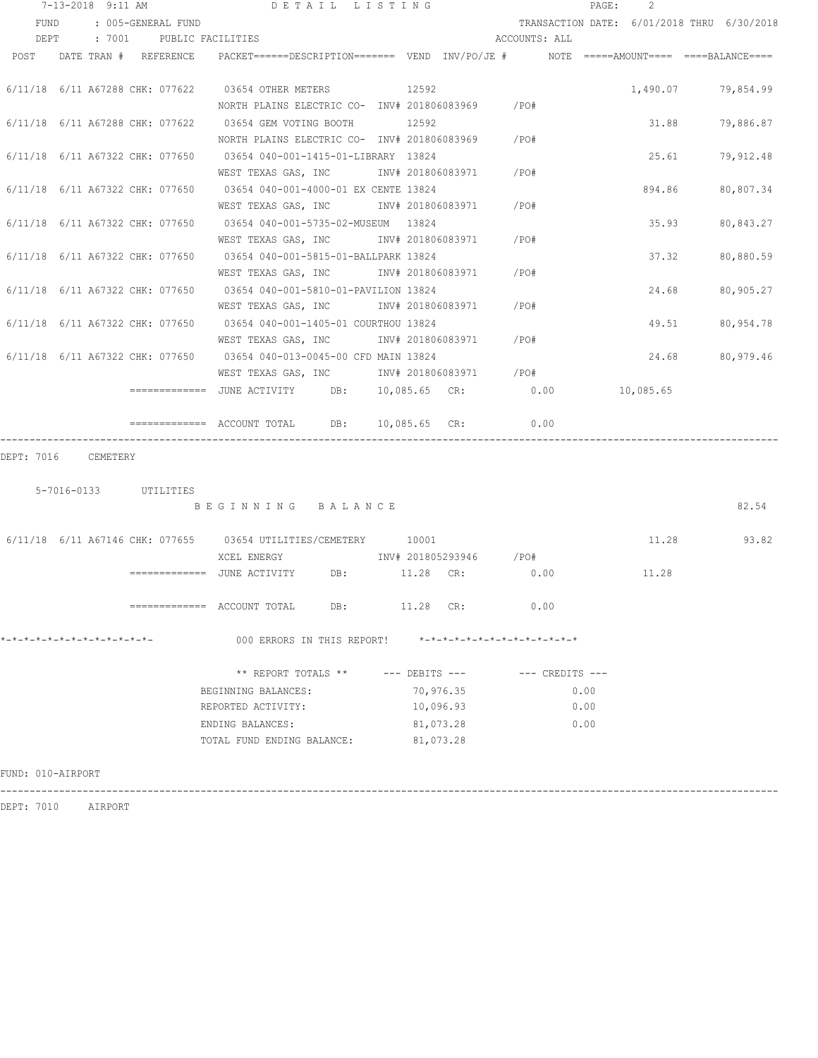|                              | 7-13-2018 9:11 AM     |                    | DETAIL LISTING                                                                                                 |     |                    |           |                               |                     | PAGE: | $\mathcal{L}$ |                                            |
|------------------------------|-----------------------|--------------------|----------------------------------------------------------------------------------------------------------------|-----|--------------------|-----------|-------------------------------|---------------------|-------|---------------|--------------------------------------------|
| FUND                         |                       | : 005-GENERAL FUND |                                                                                                                |     |                    |           |                               |                     |       |               | TRANSACTION DATE: 6/01/2018 THRU 6/30/2018 |
|                              |                       |                    | DEPT : 7001 PUBLIC FACILITIES                                                                                  |     |                    |           | ACCOUNTS: ALL                 |                     |       |               |                                            |
|                              |                       |                    | POST DATE TRAN # REFERENCE PACKET======DESCRIPTION======= VEND INV/PO/JE # NOTE =====AMOUNT==== ===BALANCE==== |     |                    |           |                               |                     |       |               |                                            |
|                              |                       |                    |                                                                                                                |     |                    |           |                               |                     |       |               |                                            |
|                              |                       |                    | 6/11/18 6/11 A67288 CHK: 077622 03654 OTHER METERS<br>NORTH PLAINS ELECTRIC CO- INV# 201806083969 / PO#        |     | 12592              |           |                               |                     |       |               | 1,490.07 79,854.99                         |
|                              |                       |                    | 6/11/18 6/11 A67288 CHK: 077622 03654 GEM VOTING BOOTH 12592                                                   |     |                    |           |                               |                     |       | 31.88         |                                            |
|                              |                       |                    | NORTH PLAINS ELECTRIC CO- INV# 201806083969 / PO#                                                              |     |                    |           |                               |                     |       |               | 79,886.87                                  |
|                              |                       |                    | 6/11/18 6/11 A67322 CHK: 077650 03654 040-001-1415-01-LIBRARY 13824                                            |     |                    |           |                               |                     |       | 25.61         | 79,912.48                                  |
|                              |                       |                    | WEST TEXAS GAS, INC MONTH 201806083971 / PO#                                                                   |     |                    |           |                               |                     |       |               |                                            |
|                              |                       |                    | 6/11/18 6/11 A67322 CHK: 077650 03654 040-001-4000-01 EX CENTE 13824                                           |     |                    |           |                               |                     |       | 894.86        | 80,807.34                                  |
|                              |                       |                    | WEST TEXAS GAS, INC        INV# 201806083971     /PO#                                                          |     |                    |           |                               |                     |       |               |                                            |
|                              |                       |                    | 6/11/18 6/11 A67322 CHK: 077650 03654 040-001-5735-02-MUSEUM 13824                                             |     |                    |           |                               |                     |       | 35.93         | 80,843.27                                  |
|                              |                       |                    | WEST TEXAS GAS, INC MOV# 201806083971 / PO#                                                                    |     |                    |           |                               |                     |       |               |                                            |
|                              |                       |                    | 6/11/18 6/11 A67322 CHK: 077650 03654 040-001-5815-01-BALLPARK 13824                                           |     |                    |           |                               |                     |       | 37.32         | 80,880.59                                  |
|                              |                       |                    | WEST TEXAS GAS, INC METALLY 201806083971 / PO#                                                                 |     |                    |           |                               |                     |       |               |                                            |
|                              |                       |                    | 6/11/18 6/11 A67322 CHK: 077650 03654 040-001-5810-01-PAVILION 13824                                           |     |                    |           |                               |                     |       | 24.68         | 80,905.27                                  |
|                              |                       |                    | WEST TEXAS GAS, INC        INV# 201806083971     /PO#                                                          |     |                    |           |                               |                     |       |               |                                            |
|                              |                       |                    | 6/11/18 6/11 A67322 CHK: 077650 03654 040-001-1405-01 COURTHOU 13824                                           |     |                    |           |                               |                     |       | 49.51         | 80,954.78                                  |
|                              |                       |                    | WEST TEXAS GAS, INC MONTH 201806083971 / PO#                                                                   |     |                    |           |                               |                     |       |               |                                            |
|                              |                       |                    | 6/11/18 6/11 A67322 CHK: 077650 03654 040-013-0045-00 CFD MAIN 13824                                           |     |                    |           |                               |                     |       | 24.68         | 80,979.46                                  |
|                              |                       |                    | WEST TEXAS GAS, INC MONTH 201806083971 / PO#                                                                   |     |                    |           |                               |                     |       |               |                                            |
|                              |                       |                    | ============= JUNE ACTIVITY     DB:   10,085.65  CR:          0.00         10,085.65                           |     |                    |           |                               |                     |       |               |                                            |
|                              |                       |                    |                                                                                                                |     |                    |           | 10,085.65 CR: 0.00            |                     |       |               |                                            |
|                              |                       |                    |                                                                                                                |     |                    |           |                               |                     |       |               |                                            |
| DEPT: 7016 CEMETERY          |                       |                    |                                                                                                                |     |                    |           |                               |                     |       |               |                                            |
|                              | 5-7016-0133 UTILITIES |                    |                                                                                                                |     |                    |           |                               |                     |       |               |                                            |
|                              |                       |                    | BEGINNING BALANCE                                                                                              |     |                    |           |                               |                     |       |               | 82.54                                      |
|                              |                       |                    |                                                                                                                |     |                    |           |                               |                     |       |               |                                            |
|                              |                       |                    | $6/11/18$ $6/11$ A67146 CHK: 077655 03654 UTILITIES/CEMETERY 10001                                             |     |                    |           |                               |                     |       |               | 11.28 93.82                                |
|                              |                       |                    | XCEL ENERGY                         INV# 201805293946         /PO#                                             |     |                    |           |                               |                     |       |               |                                            |
|                              |                       |                    | ------------- JUNE ACTIVITY DB: 11.28 CR: 0.00                                                                 |     |                    |           |                               |                     |       | 11.28         |                                            |
|                              |                       |                    |                                                                                                                |     |                    |           |                               |                     |       |               |                                            |
|                              |                       |                    |                                                                                                                | DB: | 11.28 CR:          |           |                               | 0.00                |       |               |                                            |
| *-*-*-*-*-*-*-*-*-*-*-*-*-*- |                       |                    | 000 ERRORS IN THIS REPORT!                                                                                     |     |                    |           | *-*-*-*-*-*-*-*-*-*-*-*-*-*-* |                     |       |               |                                            |
|                              |                       |                    |                                                                                                                |     |                    |           |                               |                     |       |               |                                            |
|                              |                       |                    | ** REPORT TOTALS **                                                                                            |     | $---$ DEBITS $---$ |           |                               | $---$ CREDITS $---$ |       |               |                                            |
|                              |                       |                    | BEGINNING BALANCES:                                                                                            |     |                    | 70,976.35 |                               |                     | 0.00  |               |                                            |
|                              |                       |                    | REPORTED ACTIVITY:                                                                                             |     |                    | 10,096.93 |                               |                     | 0.00  |               |                                            |
|                              |                       |                    | ENDING BALANCES:                                                                                               |     |                    | 81,073.28 |                               |                     | 0.00  |               |                                            |
|                              |                       |                    | TOTAL FUND ENDING BALANCE:                                                                                     |     |                    | 81,073.28 |                               |                     |       |               |                                            |
|                              |                       |                    |                                                                                                                |     |                    |           |                               |                     |       |               |                                            |
| FUND: 010-AIRPORT            |                       |                    |                                                                                                                |     |                    |           |                               |                     |       |               |                                            |

------------------------------------------------------------------------------------------------------------------------------------

DEPT: 7010 AIRPORT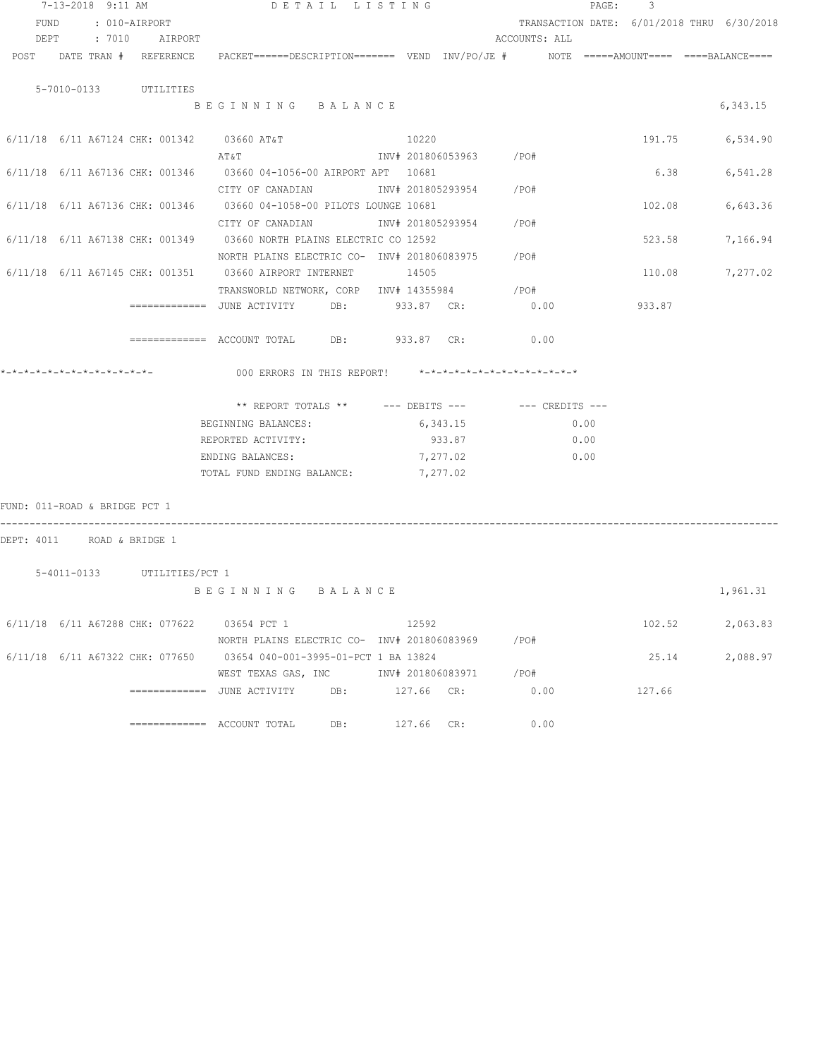|                               | 7-13-2018 9:11 AM |                                 |                                                                                                    | DETAIL LISTING |       |          |                        |      | PAGE: | 3      |                                            |
|-------------------------------|-------------------|---------------------------------|----------------------------------------------------------------------------------------------------|----------------|-------|----------|------------------------|------|-------|--------|--------------------------------------------|
| FUND                          |                   | : 010-AIRPORT                   |                                                                                                    |                |       |          |                        |      |       |        | TRANSACTION DATE: 6/01/2018 THRU 6/30/2018 |
|                               |                   | DEPT : 7010 AIRPORT             |                                                                                                    |                |       |          | ACCOUNTS: ALL          |      |       |        |                                            |
|                               |                   | POST DATE TRAN # REFERENCE      | PACKET======DESCRIPTION========  VEND  INV/PO/JE #         NOTE  =====AMOUNT====  ====BALANCE===== |                |       |          |                        |      |       |        |                                            |
|                               |                   |                                 |                                                                                                    |                |       |          |                        |      |       |        |                                            |
|                               |                   | 5-7010-0133 UTILITIES           |                                                                                                    |                |       |          |                        |      |       |        |                                            |
|                               |                   |                                 | BEGINNING BALANCE                                                                                  |                |       |          |                        |      |       |        | 6,343.15                                   |
|                               |                   |                                 |                                                                                                    |                |       |          |                        |      |       |        |                                            |
|                               |                   |                                 | $6/11/18$ $6/11$ A67124 CHK: 001342 03660 AT&T                                                     |                | 10220 |          |                        |      |       | 191.75 | 6,534.90                                   |
|                               |                   |                                 | AT&T                                                                                               |                |       |          | INV# 201806053963 /PO# |      |       |        |                                            |
|                               |                   |                                 | 6/11/18 6/11 A67136 CHK: 001346 03660 04-1056-00 AIRPORT APT 10681                                 |                |       |          |                        |      |       | 6.38   | 6,541.28                                   |
|                               |                   |                                 | CITY OF CANADIAN               INV# 201805293954       /PO#                                        |                |       |          |                        |      |       |        |                                            |
|                               |                   |                                 | 6/11/18 6/11 A67136 CHK: 001346 03660 04-1058-00 PILOTS LOUNGE 10681                               |                |       |          |                        |      |       | 102.08 | 6,643.36                                   |
|                               |                   |                                 |                                                                                                    |                |       |          |                        |      |       |        |                                            |
|                               |                   |                                 | 6/11/18 6/11 A67138 CHK: 001349 03660 NORTH PLAINS ELECTRIC CO 12592                               |                |       |          |                        |      |       | 523.58 | 7,166.94                                   |
|                               |                   |                                 | NORTH PLAINS ELECTRIC CO- INV# 201806083975 / PO#                                                  |                |       |          |                        |      |       |        |                                            |
|                               |                   |                                 | 6/11/18 6/11 A67145 CHK: 001351 03660 AIRPORT INTERNET 14505                                       |                |       |          |                        |      |       | 110.08 | 7,277.02                                   |
|                               |                   |                                 | TRANSWORLD NETWORK, CORP INV# 14355984                                                             |                |       |          | $/$ PO#                |      |       |        |                                            |
|                               |                   |                                 |                                                                                                    |                |       |          | 0.00                   |      |       | 933.87 |                                            |
|                               |                   |                                 |                                                                                                    |                |       |          |                        |      |       |        |                                            |
|                               |                   |                                 | ============ ACCOUNT TOTAL DB: 933.87 CR: 0.00                                                     |                |       |          |                        |      |       |        |                                            |
|                               |                   |                                 | 000 ERRORS IN THIS REPORT! *-*-*-*-*-*-*-*-*-*-*-*-*-*-                                            |                |       |          |                        |      |       |        |                                            |
|                               |                   |                                 | ** REPORT TOTALS ** --- DEBITS --- -- CREDITS ---                                                  |                |       |          |                        |      |       |        |                                            |
|                               |                   |                                 | BEGINNING BALANCES:                                                                                | 6,343.15       |       |          |                        | 0.00 |       |        |                                            |
|                               |                   |                                 | REPORTED ACTIVITY:                                                                                 |                |       | 933.87   |                        | 0.00 |       |        |                                            |
|                               |                   |                                 | ENDING BALANCES:                                                                                   |                |       | 7,277.02 |                        | 0.00 |       |        |                                            |
|                               |                   |                                 | TOTAL FUND ENDING BALANCE:                                                                         |                |       | 7,277.02 |                        |      |       |        |                                            |
|                               |                   |                                 |                                                                                                    |                |       |          |                        |      |       |        |                                            |
| FUND: 011-ROAD & BRIDGE PCT 1 |                   |                                 |                                                                                                    |                |       |          |                        |      |       |        |                                            |
|                               |                   |                                 |                                                                                                    |                |       |          |                        |      |       |        |                                            |
| DEPT: 4011 ROAD & BRIDGE 1    |                   |                                 |                                                                                                    |                |       |          |                        |      |       |        |                                            |
|                               |                   | 5-4011-0133 UTILITIES/PCT 1     |                                                                                                    |                |       |          |                        |      |       |        |                                            |
|                               |                   |                                 | BEGINNING BALANCE                                                                                  |                |       |          |                        |      |       |        | 1,961.31                                   |
|                               |                   |                                 |                                                                                                    |                |       |          |                        |      |       |        |                                            |
|                               |                   | 6/11/18 6/11 A67288 CHK: 077622 | 03654 PCT 1                                                                                        | 12592          |       |          |                        |      |       | 102.52 | 2,063.83                                   |
|                               |                   |                                 | NORTH PLAINS ELECTRIC CO- $1\text{NV# } 201806083969$ /PO#                                         |                |       |          |                        |      |       |        |                                            |
|                               |                   |                                 | 6/11/18 6/11 A67322 CHK: 077650 03654 040-001-3995-01-PCT 1 BA 13824                               |                |       |          |                        |      |       | 25.14  | 2,088.97                                   |
|                               |                   |                                 | WEST TEXAS GAS, INC                                                                                |                |       |          | INV# 201806083971 /PO# |      |       |        |                                            |
|                               |                   |                                 |                                                                                                    |                |       |          | 0.00                   |      |       | 127.66 |                                            |
|                               |                   |                                 |                                                                                                    |                |       |          |                        |      |       |        |                                            |
|                               |                   |                                 |                                                                                                    |                |       |          |                        |      |       |        |                                            |

============= ACCOUNT TOTAL DB: 127.66 CR: 0.00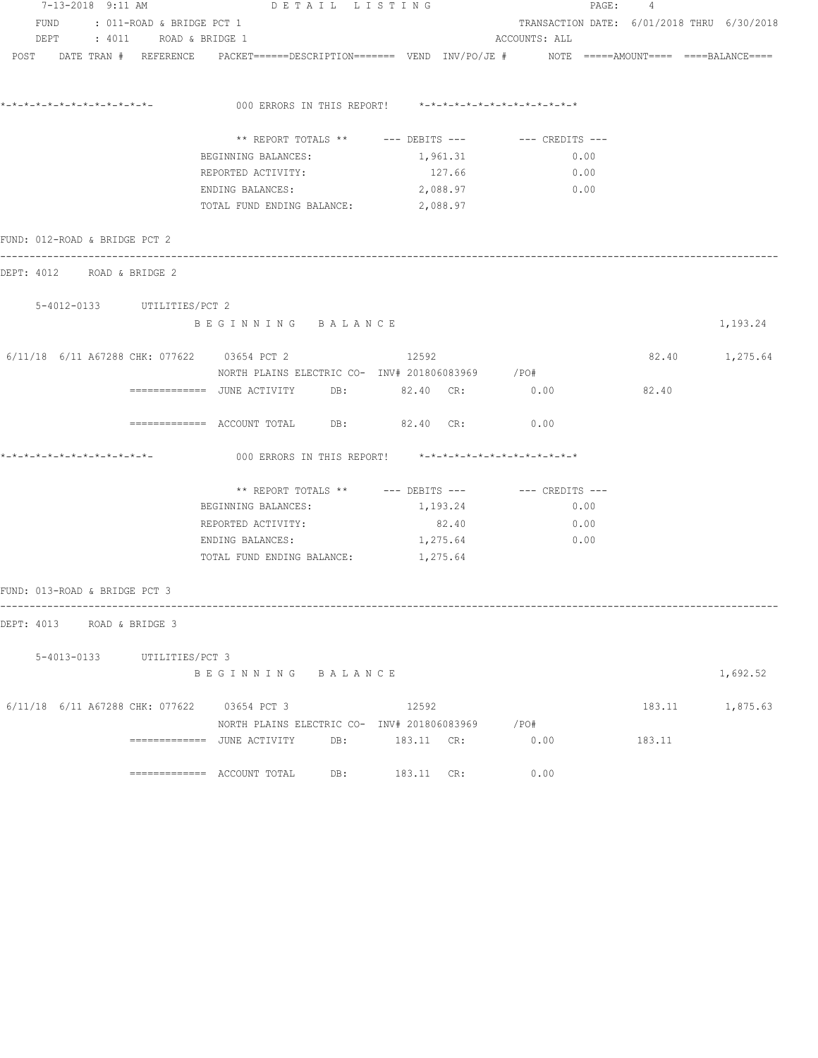| 7-13-2018 9:11 AM                             |                                | DETAIL LISTING                                   |                                                         |                                                                                                                | PAGE: 4                                    |                 |  |  |  |
|-----------------------------------------------|--------------------------------|--------------------------------------------------|---------------------------------------------------------|----------------------------------------------------------------------------------------------------------------|--------------------------------------------|-----------------|--|--|--|
|                                               | FUND : 011-ROAD & BRIDGE PCT 1 |                                                  |                                                         |                                                                                                                | TRANSACTION DATE: 6/01/2018 THRU 6/30/2018 |                 |  |  |  |
|                                               | DEPT : 4011 ROAD & BRIDGE 1    |                                                  |                                                         | ACCOUNTS: ALL                                                                                                  |                                            |                 |  |  |  |
|                                               |                                |                                                  |                                                         | POST DATE TRAN # REFERENCE PACKET======DESCRIPTION======= VEND INV/PO/JE # NOTE =====AMOUNT==== ===BALANCE==== |                                            |                 |  |  |  |
|                                               |                                |                                                  | 000 ERRORS IN THIS REPORT! *-*-*-*-*-*-*-*-*-*-*-*-*-*- |                                                                                                                |                                            |                 |  |  |  |
|                                               |                                |                                                  |                                                         |                                                                                                                |                                            |                 |  |  |  |
|                                               |                                |                                                  |                                                         | ** REPORT TOTALS ** --- DEBITS --- -- -- CREDITS ---                                                           |                                            |                 |  |  |  |
|                                               |                                | BEGINNING BALANCES:                              | 1,961.31                                                | 0.00                                                                                                           |                                            |                 |  |  |  |
|                                               |                                | REPORTED ACTIVITY:                               | 127.66                                                  | 0.00                                                                                                           |                                            |                 |  |  |  |
|                                               |                                | ENDING BALANCES:                                 | 2,088.97                                                | 0.00                                                                                                           |                                            |                 |  |  |  |
|                                               |                                | TOTAL FUND ENDING BALANCE: 2,088.97              |                                                         |                                                                                                                |                                            |                 |  |  |  |
| FUND: 012-ROAD & BRIDGE PCT 2                 |                                |                                                  |                                                         |                                                                                                                |                                            |                 |  |  |  |
| DEPT: 4012 ROAD & BRIDGE 2                    |                                |                                                  |                                                         |                                                                                                                |                                            |                 |  |  |  |
|                                               | 5-4012-0133 UTILITIES/PCT 2    |                                                  |                                                         |                                                                                                                |                                            |                 |  |  |  |
|                                               |                                | BEGINNING BALANCE                                |                                                         |                                                                                                                |                                            | 1,193.24        |  |  |  |
| 6/11/18 6/11 A67288 CHK: 077622 03654 PCT 2   |                                |                                                  | 12592                                                   |                                                                                                                |                                            | 82.40 1,275.64  |  |  |  |
|                                               |                                | NORTH PLAINS ELECTRIC CO- INV# 201806083969 /PO# |                                                         |                                                                                                                |                                            |                 |  |  |  |
|                                               |                                | ============ JUNE ACTIVITY DB: 82.40 CR: 0.00    |                                                         |                                                                                                                | 82.40                                      |                 |  |  |  |
|                                               |                                | ============ ACCOUNT TOTAL DB: 82.40 CR: 0.00    |                                                         |                                                                                                                |                                            |                 |  |  |  |
| *-*-*-*-*-*-*-*-*-*-*-*-*-*-                  |                                |                                                  | 000 ERRORS IN THIS REPORT! *-*-*-*-*-*-*-*-*-*-*-*-*-*- |                                                                                                                |                                            |                 |  |  |  |
|                                               |                                |                                                  |                                                         | ** REPORT TOTALS ** $---$ DEBITS --- $---$ CREDITS ---                                                         |                                            |                 |  |  |  |
|                                               |                                | BEGINNING BALANCES:                              | 1,193.24                                                | 0.00                                                                                                           |                                            |                 |  |  |  |
|                                               |                                | REPORTED ACTIVITY:                               | 82.40                                                   | 0.00                                                                                                           |                                            |                 |  |  |  |
|                                               |                                | ENDING BALANCES:                                 | 1,275.64                                                | 0.00                                                                                                           |                                            |                 |  |  |  |
|                                               |                                | TOTAL FUND ENDING BALANCE: 1,275.64              |                                                         |                                                                                                                |                                            |                 |  |  |  |
| FUND: 013-ROAD & BRIDGE PCT 3                 |                                |                                                  |                                                         |                                                                                                                |                                            |                 |  |  |  |
| DEPT: 4013 ROAD & BRIDGE 3                    |                                |                                                  |                                                         |                                                                                                                |                                            |                 |  |  |  |
|                                               |                                |                                                  |                                                         |                                                                                                                |                                            |                 |  |  |  |
|                                               | 5-4013-0133 UTILITIES/PCT 3    |                                                  |                                                         |                                                                                                                |                                            |                 |  |  |  |
|                                               |                                | BEGINNING BALANCE                                |                                                         |                                                                                                                |                                            | 1,692.52        |  |  |  |
| $6/11/18$ 6/11 A67288 CHK: 077622 03654 PCT 3 |                                |                                                  | 12592                                                   |                                                                                                                |                                            | 183.11 1,875.63 |  |  |  |
|                                               |                                |                                                  | NORTH PLAINS ELECTRIC CO- INV# 201806083969 / PO#       |                                                                                                                |                                            |                 |  |  |  |
|                                               |                                |                                                  |                                                         | 0.00                                                                                                           | 183.11                                     |                 |  |  |  |
|                                               |                                |                                                  | 183.11 CR:                                              | 0.00                                                                                                           |                                            |                 |  |  |  |